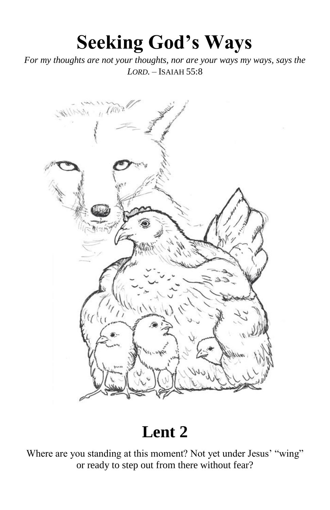# **Seeking God's Ways**

*For my thoughts are not your thoughts, nor are your ways my ways, says the LORD.* – ISAIAH 55:8



# **Lent 2**

Where are you standing at this moment? Not yet under Jesus' "wing" or ready to step out from there without fear?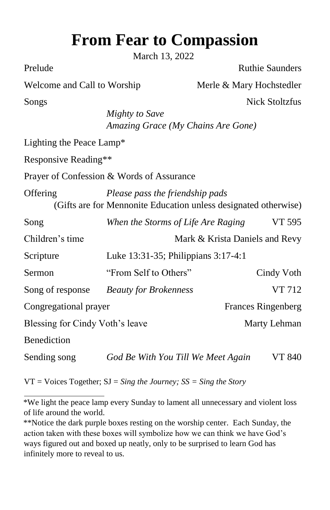# **From Fear to Compassion**

March 13, 2022

Prelude Ruthie Saunders

| Welcome and Call to Worship                                     |                                           | Merle & Mary Hochstedler       |  |  |  |  |
|-----------------------------------------------------------------|-------------------------------------------|--------------------------------|--|--|--|--|
| Songs                                                           |                                           | <b>Nick Stoltzfus</b>          |  |  |  |  |
|                                                                 | Mighty to Save                            |                                |  |  |  |  |
|                                                                 | Amazing Grace (My Chains Are Gone)        |                                |  |  |  |  |
| Lighting the Peace Lamp*                                        |                                           |                                |  |  |  |  |
| Responsive Reading**                                            |                                           |                                |  |  |  |  |
|                                                                 | Prayer of Confession & Words of Assurance |                                |  |  |  |  |
| Offering                                                        | Please pass the friendship pads           |                                |  |  |  |  |
| (Gifts are for Mennonite Education unless designated otherwise) |                                           |                                |  |  |  |  |
| Song                                                            | When the Storms of Life Are Raging        | VT 595                         |  |  |  |  |
| Children's time                                                 |                                           | Mark & Krista Daniels and Revy |  |  |  |  |
| Scripture                                                       | Luke 13:31-35; Philippians 3:17-4:1       |                                |  |  |  |  |
| Sermon                                                          | "From Self to Others"                     | Cindy Voth                     |  |  |  |  |
| Song of response                                                | <b>Beauty for Brokenness</b>              | VT 712                         |  |  |  |  |
| Congregational prayer                                           |                                           | <b>Frances Ringenberg</b>      |  |  |  |  |
| Blessing for Cindy Voth's leave                                 |                                           | Marty Lehman                   |  |  |  |  |
| Benediction                                                     |                                           |                                |  |  |  |  |
| Sending song                                                    | God Be With You Till We Meet Again        | VT 840                         |  |  |  |  |

VT = Voices Together; SJ = *Sing the Journey; SS = Sing the Story* 

<sup>\*</sup>We light the peace lamp every Sunday to lament all unnecessary and violent loss of life around the world.

<sup>\*\*</sup>Notice the dark purple boxes resting on the worship center. Each Sunday, the action taken with these boxes will symbolize how we can think we have God's ways figured out and boxed up neatly, only to be surprised to learn God has infinitely more to reveal to us.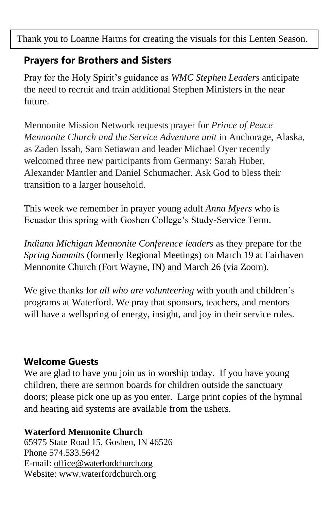Thank you to Loanne Harms for creating the visuals for this Lenten Season.

# **Prayers for Brothers and Sisters**

Pray for the Holy Spirit's guidance as *WMC Stephen Leaders* anticipate the need to recruit and train additional Stephen Ministers in the near future.

Mennonite Mission Network requests prayer for *Prince of Peace Mennonite Church and the Service Adventure unit* in Anchorage, Alaska, as Zaden Issah, Sam Setiawan and leader Michael Oyer recently welcomed three new participants from Germany: Sarah Huber, Alexander Mantler and Daniel Schumacher. Ask God to bless their transition to a larger household.

This week we remember in prayer young adult *Anna Myers* who is Ecuador this spring with Goshen College's Study-Service Term.

*Indiana Michigan Mennonite Conference leaders* as they prepare for the *Spring Summits* (formerly Regional Meetings) on March 19 at Fairhaven Mennonite Church (Fort Wayne, IN) and March 26 (via Zoom).

We give thanks for *all who are volunteering* with youth and children's programs at Waterford. We pray that sponsors, teachers, and mentors will have a wellspring of energy, insight, and joy in their service roles.

# **Welcome Guests**

We are glad to have you join us in worship today. If you have young children, there are sermon boards for children outside the sanctuary doors; please pick one up as you enter. Large print copies of the hymnal and hearing aid systems are available from the ushers.

#### **Waterford Mennonite Church**

65975 State Road 15, Goshen, IN 46526 Phone 574.533.5642. E-mail: [office@waterfordchurch.org](mailto:office@waterfordchurch.org) Website: [www.waterfordchurch.org](http://www.waterfordchurch.org/)